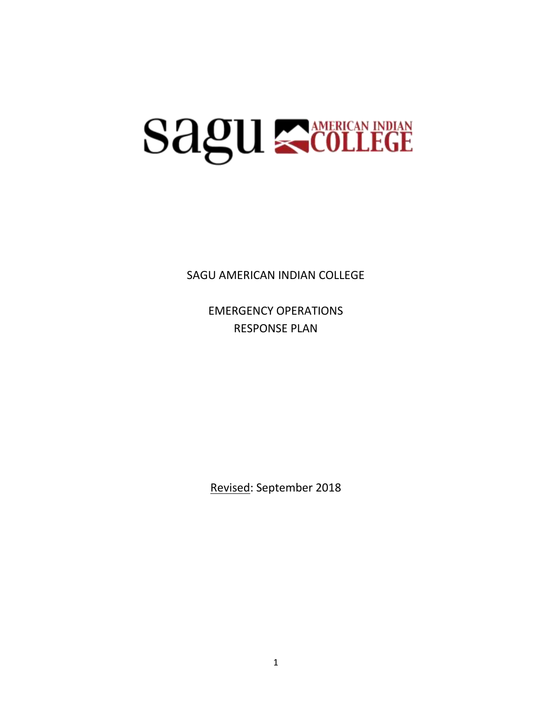# **Sagu Scollege**

SAGU AMERICAN INDIAN COLLEGE

EMERGENCY OPERATIONS RESPONSE PLAN

Revised: September 2018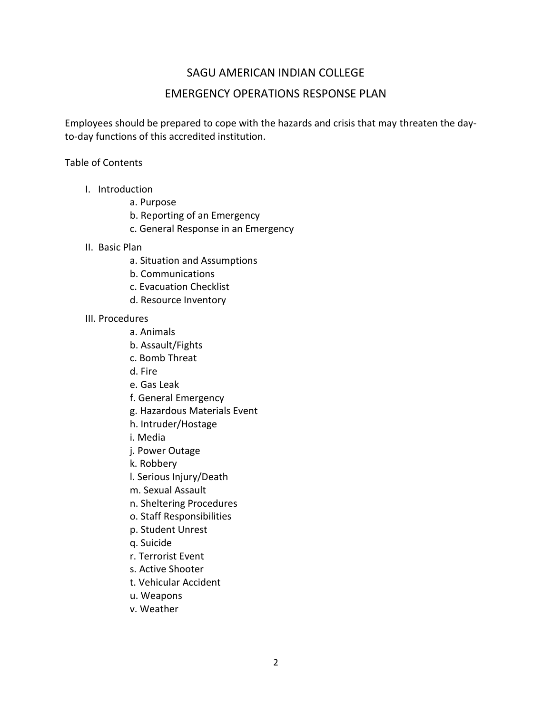# SAGU AMERICAN INDIAN COLLEGE

# EMERGENCY OPERATIONS RESPONSE PLAN

Employees should be prepared to cope with the hazards and crisis that may threaten the dayto-day functions of this accredited institution.

Table of Contents

- I. Introduction
	- a. Purpose
	- b. Reporting of an Emergency
	- c. General Response in an Emergency
- II. Basic Plan
	- a. Situation and Assumptions
	- b. Communications
	- c. Evacuation Checklist
	- d. Resource Inventory
- III. Procedures
	- a. Animals
	- b. Assault/Fights
	- c. Bomb Threat
	- d. Fire
	- e. Gas Leak
	- f. General Emergency
	- g. Hazardous Materials Event
	- h. Intruder/Hostage
	- i. Media
	- j. Power Outage
	- k. Robbery
	- l. Serious Injury/Death
	- m. Sexual Assault
	- n. Sheltering Procedures
	- o. Staff Responsibilities
	- p. Student Unrest
	- q. Suicide
	- r. Terrorist Event
	- s. Active Shooter
	- t. Vehicular Accident
	- u. Weapons
	- v. Weather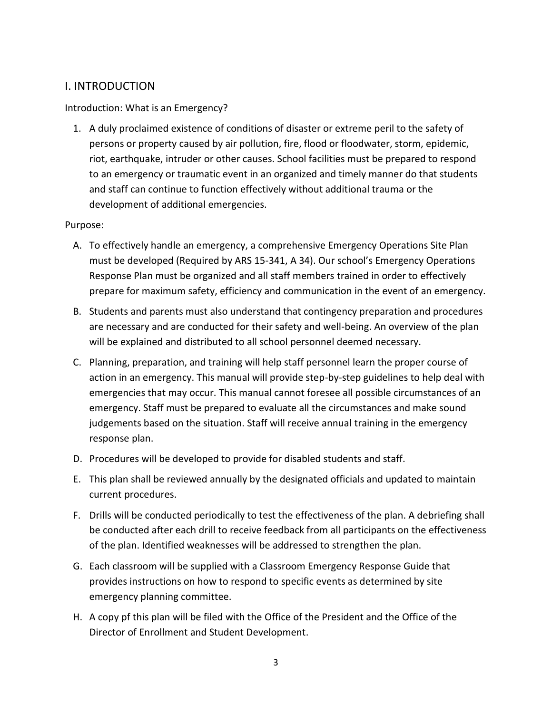# I. INTRODUCTION

#### Introduction: What is an Emergency?

1. A duly proclaimed existence of conditions of disaster or extreme peril to the safety of persons or property caused by air pollution, fire, flood or floodwater, storm, epidemic, riot, earthquake, intruder or other causes. School facilities must be prepared to respond to an emergency or traumatic event in an organized and timely manner do that students and staff can continue to function effectively without additional trauma or the development of additional emergencies.

#### Purpose:

- A. To effectively handle an emergency, a comprehensive Emergency Operations Site Plan must be developed (Required by ARS 15-341, A 34). Our school's Emergency Operations Response Plan must be organized and all staff members trained in order to effectively prepare for maximum safety, efficiency and communication in the event of an emergency.
- B. Students and parents must also understand that contingency preparation and procedures are necessary and are conducted for their safety and well-being. An overview of the plan will be explained and distributed to all school personnel deemed necessary.
- C. Planning, preparation, and training will help staff personnel learn the proper course of action in an emergency. This manual will provide step-by-step guidelines to help deal with emergencies that may occur. This manual cannot foresee all possible circumstances of an emergency. Staff must be prepared to evaluate all the circumstances and make sound judgements based on the situation. Staff will receive annual training in the emergency response plan.
- D. Procedures will be developed to provide for disabled students and staff.
- E. This plan shall be reviewed annually by the designated officials and updated to maintain current procedures.
- F. Drills will be conducted periodically to test the effectiveness of the plan. A debriefing shall be conducted after each drill to receive feedback from all participants on the effectiveness of the plan. Identified weaknesses will be addressed to strengthen the plan.
- G. Each classroom will be supplied with a Classroom Emergency Response Guide that provides instructions on how to respond to specific events as determined by site emergency planning committee.
- H. A copy pf this plan will be filed with the Office of the President and the Office of the Director of Enrollment and Student Development.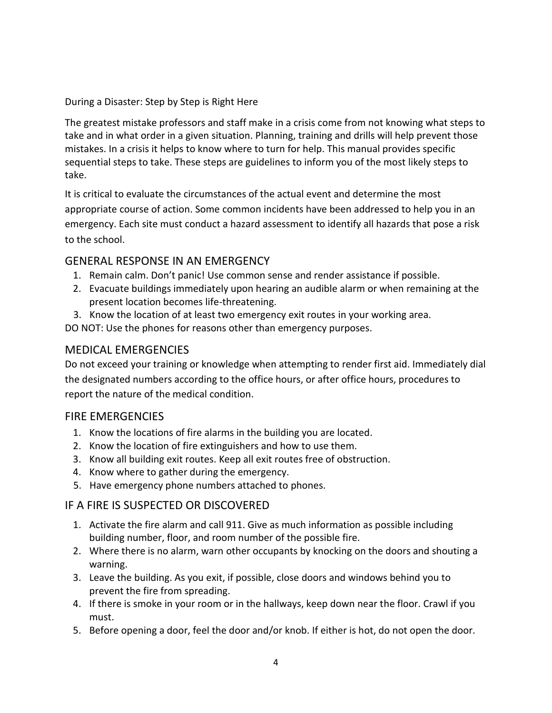During a Disaster: Step by Step is Right Here

The greatest mistake professors and staff make in a crisis come from not knowing what steps to take and in what order in a given situation. Planning, training and drills will help prevent those mistakes. In a crisis it helps to know where to turn for help. This manual provides specific sequential steps to take. These steps are guidelines to inform you of the most likely steps to take.

It is critical to evaluate the circumstances of the actual event and determine the most appropriate course of action. Some common incidents have been addressed to help you in an emergency. Each site must conduct a hazard assessment to identify all hazards that pose a risk to the school.

# GENERAL RESPONSE IN AN EMERGENCY

- 1. Remain calm. Don't panic! Use common sense and render assistance if possible.
- 2. Evacuate buildings immediately upon hearing an audible alarm or when remaining at the present location becomes life-threatening.
- 3. Know the location of at least two emergency exit routes in your working area.

DO NOT: Use the phones for reasons other than emergency purposes.

# MEDICAL EMERGENCIES

Do not exceed your training or knowledge when attempting to render first aid. Immediately dial the designated numbers according to the office hours, or after office hours, procedures to report the nature of the medical condition.

# FIRE EMERGENCIES

- 1. Know the locations of fire alarms in the building you are located.
- 2. Know the location of fire extinguishers and how to use them.
- 3. Know all building exit routes. Keep all exit routes free of obstruction.
- 4. Know where to gather during the emergency.
- 5. Have emergency phone numbers attached to phones.

# IF A FIRE IS SUSPECTED OR DISCOVERED

- 1. Activate the fire alarm and call 911. Give as much information as possible including building number, floor, and room number of the possible fire.
- 2. Where there is no alarm, warn other occupants by knocking on the doors and shouting a warning.
- 3. Leave the building. As you exit, if possible, close doors and windows behind you to prevent the fire from spreading.
- 4. If there is smoke in your room or in the hallways, keep down near the floor. Crawl if you must.
- 5. Before opening a door, feel the door and/or knob. If either is hot, do not open the door.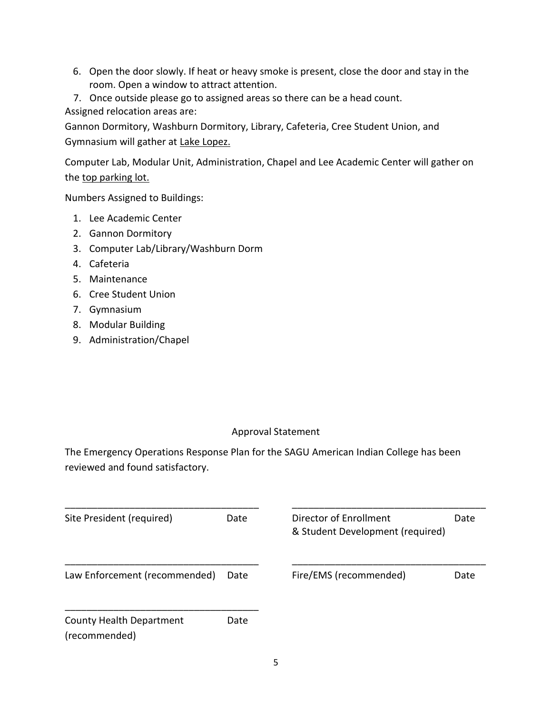- 6. Open the door slowly. If heat or heavy smoke is present, close the door and stay in the room. Open a window to attract attention.
- 7. Once outside please go to assigned areas so there can be a head count. Assigned relocation areas are:

Gannon Dormitory, Washburn Dormitory, Library, Cafeteria, Cree Student Union, and Gymnasium will gather at Lake Lopez.

Computer Lab, Modular Unit, Administration, Chapel and Lee Academic Center will gather on the top parking lot.

Numbers Assigned to Buildings:

- 1. Lee Academic Center
- 2. Gannon Dormitory
- 3. Computer Lab/Library/Washburn Dorm
- 4. Cafeteria
- 5. Maintenance
- 6. Cree Student Union
- 7. Gymnasium
- 8. Modular Building
- 9. Administration/Chapel

# Approval Statement

The Emergency Operations Response Plan for the SAGU American Indian College has been reviewed and found satisfactory.

| Site President (required)                 | Date | Director of Enrollment<br>& Student Development (required) | Date |
|-------------------------------------------|------|------------------------------------------------------------|------|
| Law Enforcement (recommended)             | Date | Fire/EMS (recommended)                                     | Date |
| County Health Department<br>(recommended) | Date |                                                            |      |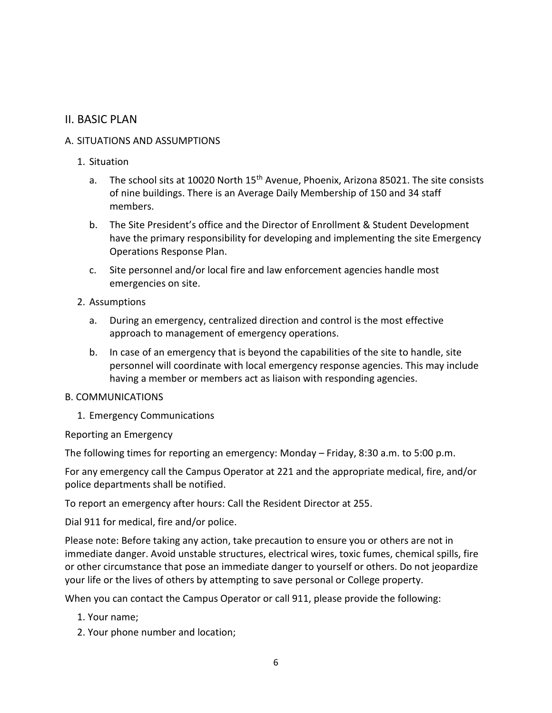# II. BASIC PLAN

#### A. SITUATIONS AND ASSUMPTIONS

- 1. Situation
	- a. The school sits at 10020 North 15<sup>th</sup> Avenue, Phoenix, Arizona 85021. The site consists of nine buildings. There is an Average Daily Membership of 150 and 34 staff members.
	- b. The Site President's office and the Director of Enrollment & Student Development have the primary responsibility for developing and implementing the site Emergency Operations Response Plan.
	- c. Site personnel and/or local fire and law enforcement agencies handle most emergencies on site.
- 2. Assumptions
	- a. During an emergency, centralized direction and control is the most effective approach to management of emergency operations.
	- b. In case of an emergency that is beyond the capabilities of the site to handle, site personnel will coordinate with local emergency response agencies. This may include having a member or members act as liaison with responding agencies.

#### B. COMMUNICATIONS

1. Emergency Communications

Reporting an Emergency

The following times for reporting an emergency: Monday – Friday, 8:30 a.m. to 5:00 p.m.

For any emergency call the Campus Operator at 221 and the appropriate medical, fire, and/or police departments shall be notified.

To report an emergency after hours: Call the Resident Director at 255.

Dial 911 for medical, fire and/or police.

Please note: Before taking any action, take precaution to ensure you or others are not in immediate danger. Avoid unstable structures, electrical wires, toxic fumes, chemical spills, fire or other circumstance that pose an immediate danger to yourself or others. Do not jeopardize your life or the lives of others by attempting to save personal or College property.

When you can contact the Campus Operator or call 911, please provide the following:

- 1. Your name;
- 2. Your phone number and location;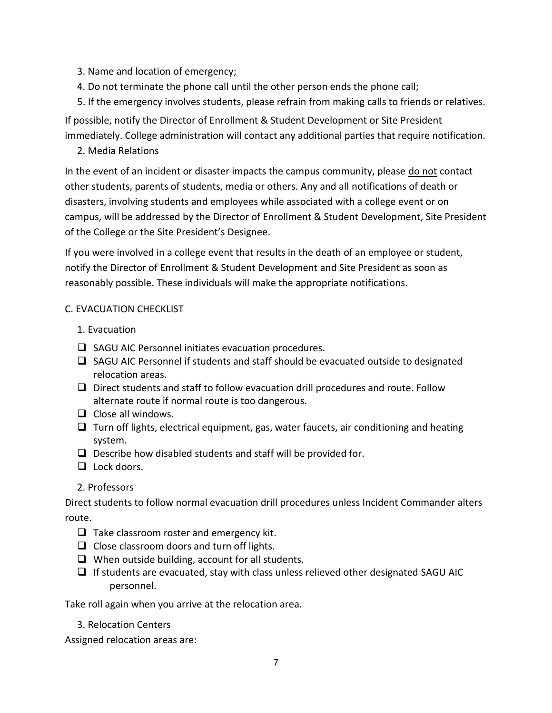- 3. Name and location of emergency;
- 4. Do not terminate the phone call until the other person ends the phone call;
- 5. If the emergency involves students, please refrain from making calls to friends or relatives.

If possible, notify the Director of Enrollment & Student Development or Site President immediately. College administration will contact any additional parties that require notification.

# 2. Media Relations

In the event of an incident or disaster impacts the campus community, please do not contact other students, parents of students, media or others. Any and all notifications of death or disasters, involving students and employees while associated with a college event or on campus, will be addressed by the Director of Enrollment & Student Development, Site President of the College or the Site President's Designee.

If you were involved in a college event that results in the death of an employee or student, notify the Director of Enrollment & Student Development and Site President as soon as reasonably possible. These individuals will make the appropriate notifications.

# C. EVACUATION CHECKLIST

- 1. Evacuation
- $\Box$  SAGU AIC Personnel initiates evacuation procedures.
- $\Box$  SAGU AIC Personnel if students and staff should be evacuated outside to designated relocation areas.
- $\Box$  Direct students and staff to follow evacuation drill procedures and route. Follow alternate route if normal route is too dangerous.
- $\Box$  Close all windows.
- $\Box$  Turn off lights, electrical equipment, gas, water faucets, air conditioning and heating system.
- $\Box$  Describe how disabled students and staff will be provided for.
- $\Box$  Lock doors.
- 2. Professors

Direct students to follow normal evacuation drill procedures unless Incident Commander alters route.

- $\Box$  Take classroom roster and emergency kit.
- $\Box$  Close classroom doors and turn off lights.
- $\Box$  When outside building, account for all students.
- $\Box$  If students are evacuated, stay with class unless relieved other designated SAGU AIC personnel.

Take roll again when you arrive at the relocation area.

3. Relocation Centers

Assigned relocation areas are: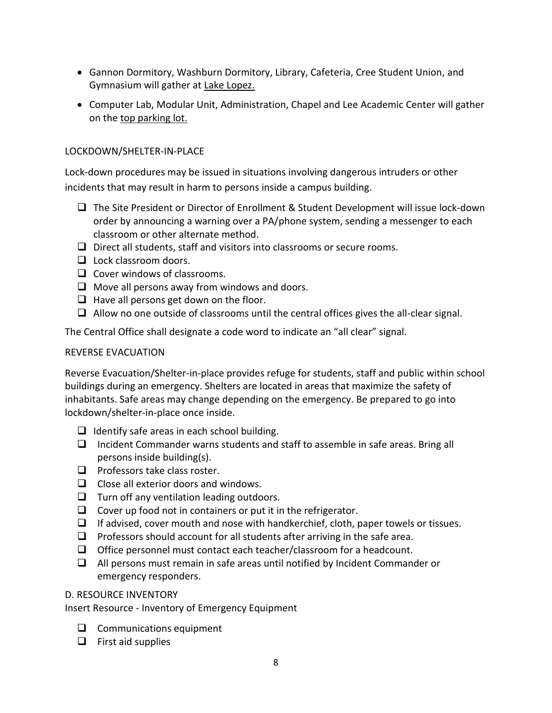- Gannon Dormitory, Washburn Dormitory, Library, Cafeteria, Cree Student Union, and Gymnasium will gather at Lake Lopez.
- Computer Lab, Modular Unit, Administration, Chapel and Lee Academic Center will gather on the top parking lot.

## LOCKDOWN/SHELTER-IN-PLACE

Lock-down procedures may be issued in situations involving dangerous intruders or other incidents that may result in harm to persons inside a campus building.

- □ The Site President or Director of Enrollment & Student Development will issue lock-down order by announcing a warning over a PA/phone system, sending a messenger to each classroom or other alternate method.
- $\Box$  Direct all students, staff and visitors into classrooms or secure rooms.
- $\Box$  Lock classroom doors.
- $\Box$  Cover windows of classrooms.
- $\Box$  Move all persons away from windows and doors.
- $\Box$  Have all persons get down on the floor.
- $\Box$  Allow no one outside of classrooms until the central offices gives the all-clear signal.

The Central Office shall designate a code word to indicate an "all clear" signal.

#### REVERSE EVACUATION

Reverse Evacuation/Shelter-in-place provides refuge for students, staff and public within school buildings during an emergency. Shelters are located in areas that maximize the safety of inhabitants. Safe areas may change depending on the emergency. Be prepared to go into lockdown/shelter-in-place once inside.

- $\Box$  Identify safe areas in each school building.
- $\Box$  Incident Commander warns students and staff to assemble in safe areas. Bring all persons inside building(s).
- $\Box$  Professors take class roster.
- $\Box$  Close all exterior doors and windows.
- $\Box$  Turn off any ventilation leading outdoors.
- $\Box$  Cover up food not in containers or put it in the refrigerator.
- $\Box$  If advised, cover mouth and nose with handkerchief, cloth, paper towels or tissues.
- $\Box$  Professors should account for all students after arriving in the safe area.
- $\Box$  Office personnel must contact each teacher/classroom for a headcount.
- $\Box$  All persons must remain in safe areas until notified by Incident Commander or emergency responders.

#### D. RESOURCE INVENTORY

Insert Resource - Inventory of Emergency Equipment

- $\Box$  Communications equipment
- $\Box$  First aid supplies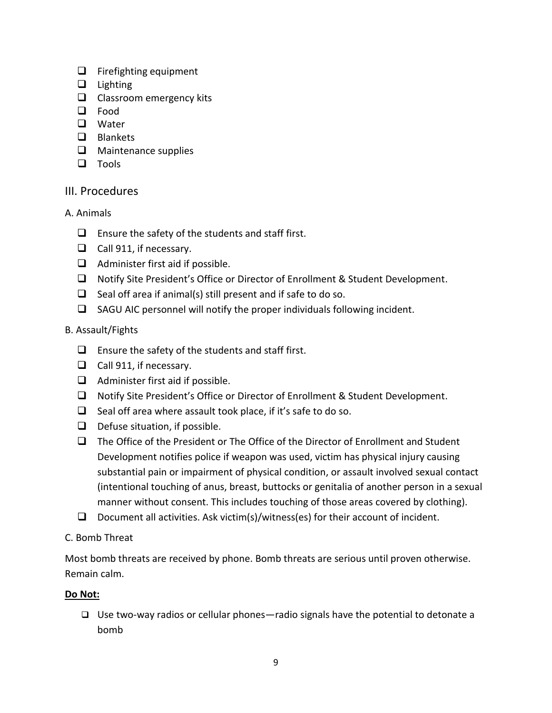- $\Box$  Firefighting equipment
- $\Box$  Lighting
- $\Box$  Classroom emergency kits
- **Q** Food
- **D** Water
- **Q** Blankets
- $\Box$  Maintenance supplies
- $\Box$  Tools

# III. Procedures

- A. Animals
	- $\Box$  Ensure the safety of the students and staff first.
	- $\Box$  Call 911, if necessary.
	- $\Box$  Administer first aid if possible.
	- □ Notify Site President's Office or Director of Enrollment & Student Development.
	- $\Box$  Seal off area if animal(s) still present and if safe to do so.
	- $\square$  SAGU AIC personnel will notify the proper individuals following incident.

# B. Assault/Fights

- $\Box$  Ensure the safety of the students and staff first.
- $\Box$  Call 911, if necessary.
- $\Box$  Administer first aid if possible.
- □ Notify Site President's Office or Director of Enrollment & Student Development.
- $\Box$  Seal off area where assault took place, if it's safe to do so.
- $\Box$  Defuse situation, if possible.
- $\Box$  The Office of the President or The Office of the Director of Enrollment and Student Development notifies police if weapon was used, victim has physical injury causing substantial pain or impairment of physical condition, or assault involved sexual contact (intentional touching of anus, breast, buttocks or genitalia of another person in a sexual manner without consent. This includes touching of those areas covered by clothing).
- Document all activities. Ask victim(s)/witness(es) for their account of incident.
- C. Bomb Threat

Most bomb threats are received by phone. Bomb threats are serious until proven otherwise. Remain calm.

# **Do Not:**

 $\Box$  Use two-way radios or cellular phones—radio signals have the potential to detonate a bomb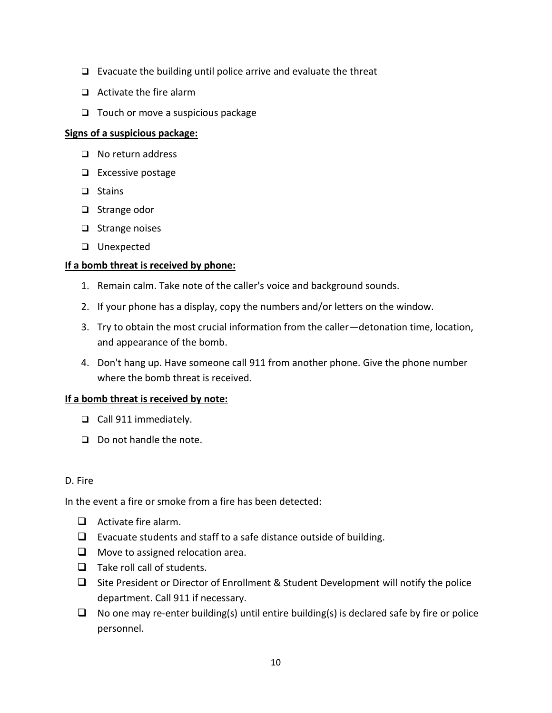- $\Box$  Evacuate the building until police arrive and evaluate the threat
- $\Box$  Activate the fire alarm
- $\Box$  Touch or move a suspicious package

#### **Signs of a suspicious package:**

- □ No return address
- □ Excessive postage
- $\Box$  Stains
- □ Strange odor
- $\Box$  Strange noises
- **Q** Unexpected

#### **If a bomb threat is received by phone:**

- 1. Remain calm. Take note of the caller's voice and background sounds.
- 2. If your phone has a display, copy the numbers and/or letters on the window.
- 3. Try to obtain the most crucial information from the caller—detonation time, location, and appearance of the bomb.
- 4. Don't hang up. Have someone call 911 from another phone. Give the phone number where the bomb threat is received.

# **If a bomb threat is received by note:**

- Call 911 immediately.
- $\Box$  Do not handle the note.

#### D. Fire

In the event a fire or smoke from a fire has been detected:

- $\Box$  Activate fire alarm.
- $\Box$  Evacuate students and staff to a safe distance outside of building.
- $\Box$  Move to assigned relocation area.
- $\Box$  Take roll call of students.
- $\Box$  Site President or Director of Enrollment & Student Development will notify the police department. Call 911 if necessary.
- $\Box$  No one may re-enter building(s) until entire building(s) is declared safe by fire or police personnel.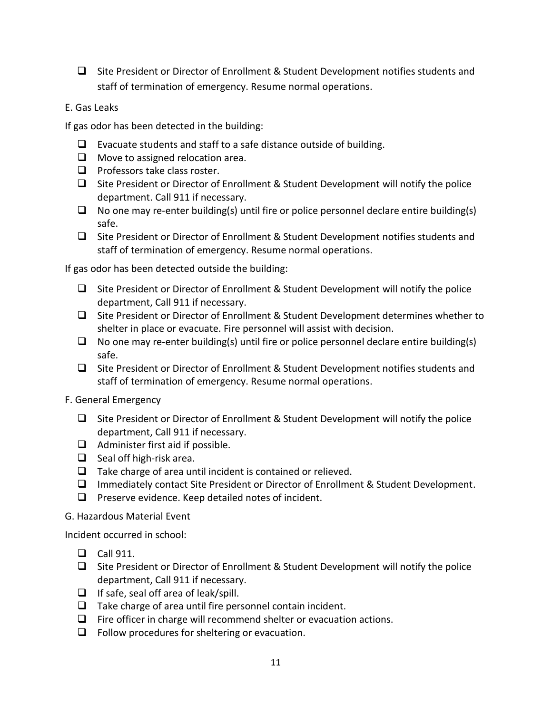- $\square$  Site President or Director of Enrollment & Student Development notifies students and staff of termination of emergency. Resume normal operations.
- E. Gas Leaks

If gas odor has been detected in the building:

- $\Box$  Evacuate students and staff to a safe distance outside of building.
- $\Box$  Move to assigned relocation area.
- $\Box$  Professors take class roster.
- $\Box$  Site President or Director of Enrollment & Student Development will notify the police department. Call 911 if necessary.
- $\Box$  No one may re-enter building(s) until fire or police personnel declare entire building(s) safe.
- $\square$  Site President or Director of Enrollment & Student Development notifies students and staff of termination of emergency. Resume normal operations.

If gas odor has been detected outside the building:

- $\Box$  Site President or Director of Enrollment & Student Development will notify the police department, Call 911 if necessary.
- $\Box$  Site President or Director of Enrollment & Student Development determines whether to shelter in place or evacuate. Fire personnel will assist with decision.
- $\Box$  No one may re-enter building(s) until fire or police personnel declare entire building(s) safe.
- $\Box$  Site President or Director of Enrollment & Student Development notifies students and staff of termination of emergency. Resume normal operations.
- F. General Emergency
	- $\Box$  Site President or Director of Enrollment & Student Development will notify the police department, Call 911 if necessary.
	- $\Box$  Administer first aid if possible.
	- $\Box$  Seal off high-risk area.
	- $\Box$  Take charge of area until incident is contained or relieved.
	- Immediately contact Site President or Director of Enrollment & Student Development.
	- $\Box$  Preserve evidence. Keep detailed notes of incident.
- G. Hazardous Material Event

Incident occurred in school:

- $\Box$  Call 911.
- $\Box$  Site President or Director of Enrollment & Student Development will notify the police department, Call 911 if necessary.
- $\Box$  If safe, seal off area of leak/spill.
- $\Box$  Take charge of area until fire personnel contain incident.
- $\Box$  Fire officer in charge will recommend shelter or evacuation actions.
- $\Box$  Follow procedures for sheltering or evacuation.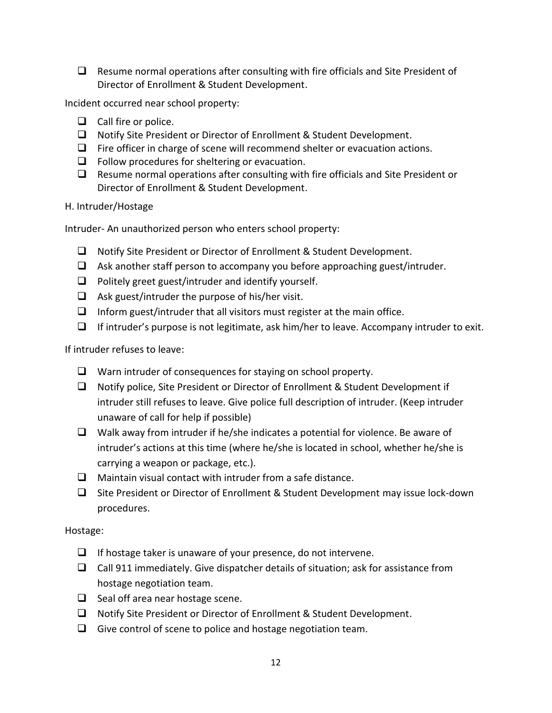$\Box$  Resume normal operations after consulting with fire officials and Site President of Director of Enrollment & Student Development.

Incident occurred near school property:

- $\Box$  Call fire or police.
- □ Notify Site President or Director of Enrollment & Student Development.
- $\Box$  Fire officer in charge of scene will recommend shelter or evacuation actions.
- $\Box$  Follow procedures for sheltering or evacuation.
- $\Box$  Resume normal operations after consulting with fire officials and Site President or Director of Enrollment & Student Development.
- H. Intruder/Hostage

Intruder- An unauthorized person who enters school property:

- □ Notify Site President or Director of Enrollment & Student Development.
- $\Box$  Ask another staff person to accompany you before approaching guest/intruder.
- $\Box$  Politely greet guest/intruder and identify yourself.
- $\Box$  Ask guest/intruder the purpose of his/her visit.
- $\Box$  Inform guest/intruder that all visitors must register at the main office.
- $\Box$  If intruder's purpose is not legitimate, ask him/her to leave. Accompany intruder to exit.

If intruder refuses to leave:

- $\Box$  Warn intruder of consequences for staying on school property.
- $\Box$  Notify police, Site President or Director of Enrollment & Student Development if intruder still refuses to leave. Give police full description of intruder. (Keep intruder unaware of call for help if possible)
- $\Box$  Walk away from intruder if he/she indicates a potential for violence. Be aware of intruder's actions at this time (where he/she is located in school, whether he/she is carrying a weapon or package, etc.).
- $\Box$  Maintain visual contact with intruder from a safe distance.
- $\Box$  Site President or Director of Enrollment & Student Development may issue lock-down procedures.

Hostage:

- $\Box$  If hostage taker is unaware of your presence, do not intervene.
- $\Box$  Call 911 immediately. Give dispatcher details of situation; ask for assistance from hostage negotiation team.
- $\Box$  Seal off area near hostage scene.
- □ Notify Site President or Director of Enrollment & Student Development.
- $\Box$  Give control of scene to police and hostage negotiation team.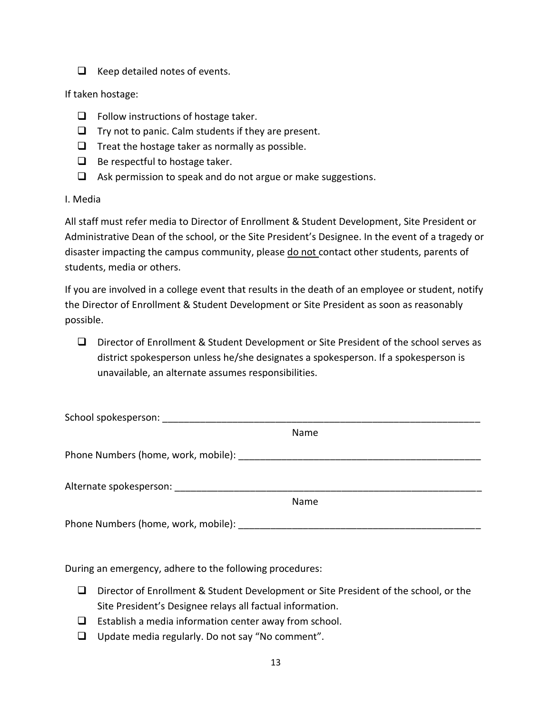$\Box$  Keep detailed notes of events.

#### If taken hostage:

- $\Box$  Follow instructions of hostage taker.
- $\Box$  Try not to panic. Calm students if they are present.
- $\Box$  Treat the hostage taker as normally as possible.
- $\Box$  Be respect ful to hostage taker.
- $\Box$  Ask permission to speak and do not argue or make suggestions.

#### I. Media

All staff must refer media to Director of Enrollment & Student Development, Site President or Administrative Dean of the school, or the Site President's Designee. In the event of a tragedy or disaster impacting the campus community, please do not contact other students, parents of students, media or others.

If you are involved in a college event that results in the death of an employee or student, notify the Director of Enrollment & Student Development or Site President as soon as reasonably possible.

 Director of Enrollment & Student Development or Site President of the school serves as district spokesperson unless he/she designates a spokesperson. If a spokesperson is unavailable, an alternate assumes responsibilities.

| School spokesperson:                            |      |
|-------------------------------------------------|------|
|                                                 | Name |
| Phone Numbers (home, work, mobile):             |      |
| Alternate spokesperson: Alternate spokesperson: |      |
|                                                 | Name |
| Phone Numbers (home, work, mobile):             |      |

During an emergency, adhere to the following procedures:

- $\Box$  Director of Enrollment & Student Development or Site President of the school, or the Site President's Designee relays all factual information.
- $\Box$  Establish a media information center away from school.
- $\Box$  Update media regularly. Do not say "No comment".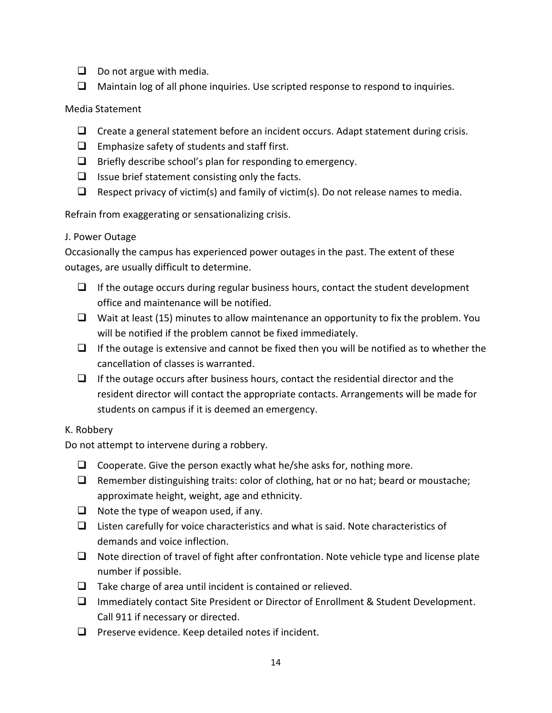- $\Box$  Do not argue with media.
- $\Box$  Maintain log of all phone inquiries. Use scripted response to respond to inquiries.

# Media Statement

- $\Box$  Create a general statement before an incident occurs. Adapt statement during crisis.
- $\Box$  Emphasize safety of students and staff first.
- $\Box$  Briefly describe school's plan for responding to emergency.
- $\Box$  Issue brief statement consisting only the facts.
- $\Box$  Respect privacy of victim(s) and family of victim(s). Do not release names to media.

Refrain from exaggerating or sensationalizing crisis.

# J. Power Outage

Occasionally the campus has experienced power outages in the past. The extent of these outages, are usually difficult to determine.

- $\Box$  If the outage occurs during regular business hours, contact the student development office and maintenance will be notified.
- $\Box$  Wait at least (15) minutes to allow maintenance an opportunity to fix the problem. You will be notified if the problem cannot be fixed immediately.
- $\Box$  If the outage is extensive and cannot be fixed then you will be notified as to whether the cancellation of classes is warranted.
- $\Box$  If the outage occurs after business hours, contact the residential director and the resident director will contact the appropriate contacts. Arrangements will be made for students on campus if it is deemed an emergency.

# K. Robbery

Do not attempt to intervene during a robbery.

- $\Box$  Cooperate. Give the person exactly what he/she asks for, nothing more.
- $\Box$  Remember distinguishing traits: color of clothing, hat or no hat; beard or moustache; approximate height, weight, age and ethnicity.
- $\Box$  Note the type of weapon used, if any.
- $\Box$  Listen carefully for voice characteristics and what is said. Note characteristics of demands and voice inflection.
- $\Box$  Note direction of travel of fight after confrontation. Note vehicle type and license plate number if possible.
- $\Box$  Take charge of area until incident is contained or relieved.
- Immediately contact Site President or Director of Enrollment & Student Development. Call 911 if necessary or directed.
- $\Box$  Preserve evidence. Keep detailed notes if incident.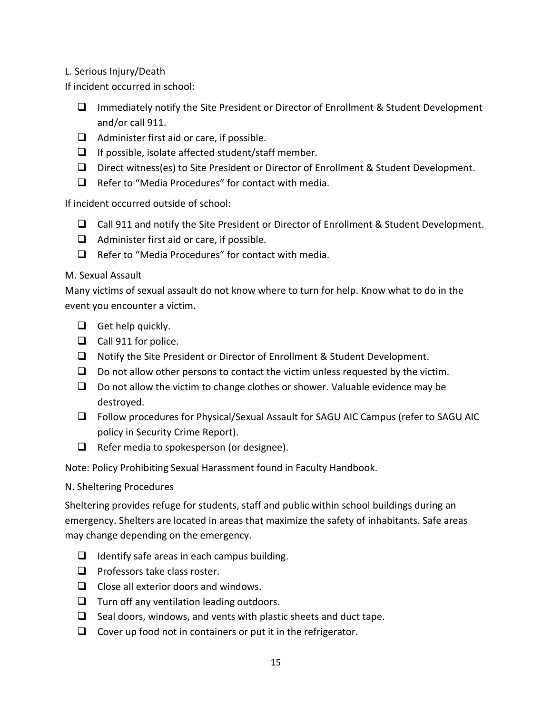# L. Serious Injury/Death

If incident occurred in school:

- $\Box$  Immediately notify the Site President or Director of Enrollment & Student Development and/or call 911.
- $\Box$  Administer first aid or care, if possible.
- $\Box$  If possible, isolate affected student/staff member.
- Direct witness(es) to Site President or Director of Enrollment & Student Development.
- $\Box$  Refer to "Media Procedures" for contact with media.

If incident occurred outside of school:

- Call 911 and notify the Site President or Director of Enrollment & Student Development.
- $\Box$  Administer first aid or care, if possible.
- $\Box$  Refer to "Media Procedures" for contact with media.

# M. Sexual Assault

Many victims of sexual assault do not know where to turn for help. Know what to do in the event you encounter a victim.

- $\Box$  Get help quickly.
- $\Box$  Call 911 for police.
- □ Notify the Site President or Director of Enrollment & Student Development.
- $\Box$  Do not allow other persons to contact the victim unless requested by the victim.
- $\Box$  Do not allow the victim to change clothes or shower. Valuable evidence may be destroyed.
- Follow procedures for Physical/Sexual Assault for SAGU AIC Campus (refer to SAGU AIC policy in Security Crime Report).
- $\Box$  Refer media to spokesperson (or designee).

Note: Policy Prohibiting Sexual Harassment found in Faculty Handbook.

# N. Sheltering Procedures

Sheltering provides refuge for students, staff and public within school buildings during an emergency. Shelters are located in areas that maximize the safety of inhabitants. Safe areas may change depending on the emergency.

- $\Box$  Identify safe areas in each campus building.
- $\Box$  Professors take class roster.
- $\Box$  Close all exterior doors and windows.
- $\Box$  Turn off any ventilation leading outdoors.
- $\Box$  Seal doors, windows, and vents with plastic sheets and duct tape.
- $\Box$  Cover up food not in containers or put it in the refrigerator.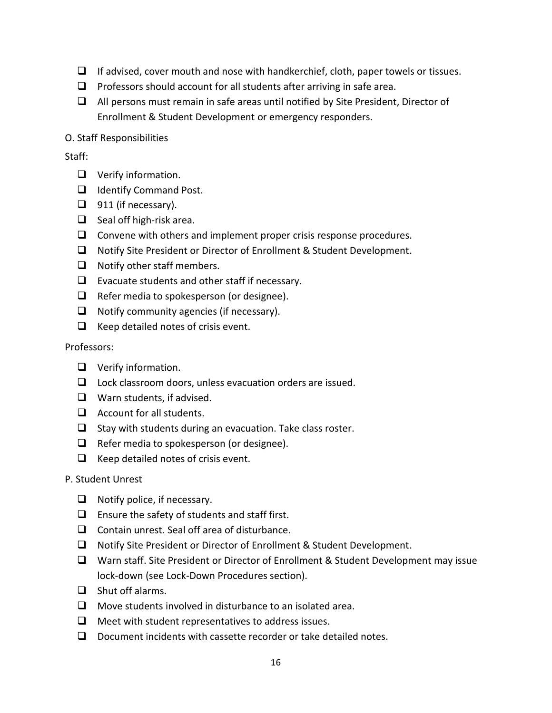- $\Box$  If advised, cover mouth and nose with handkerchief, cloth, paper towels or tissues.
- $\Box$  Professors should account for all students after arriving in safe area.
- $\Box$  All persons must remain in safe areas until notified by Site President, Director of Enrollment & Student Development or emergency responders.
- O. Staff Responsibilities

## Staff:

- **Q** Verify information.
- □ Identify Command Post.
- $\Box$  911 (if necessary).
- $\Box$  Seal off high-risk area.
- $\Box$  Convene with others and implement proper crisis response procedures.
- □ Notify Site President or Director of Enrollment & Student Development.
- $\Box$  Notify other staff members.
- $\Box$  Evacuate students and other staff if necessary.
- $\Box$  Refer media to spokesperson (or designee).
- $\Box$  Notify community agencies (if necessary).
- $\Box$  Keep detailed notes of crisis event.

#### Professors:

- **Q** Verify information.
- $\Box$  Lock classroom doors, unless evacuation orders are issued.
- $\Box$  Warn students, if advised.
- $\Box$  Account for all students.
- $\Box$  Stay with students during an evacuation. Take class roster.
- $\Box$  Refer media to spokesperson (or designee).
- $\Box$  Keep detailed notes of crisis event.

#### P. Student Unrest

- $\Box$  Notify police, if necessary.
- $\Box$  Ensure the safety of students and staff first.
- $\Box$  Contain unrest. Seal off area of disturbance.
- □ Notify Site President or Director of Enrollment & Student Development.
- Warn staff. Site President or Director of Enrollment & Student Development may issue lock-down (see Lock-Down Procedures section).
- $\Box$  Shut off alarms.
- $\Box$  Move students involved in disturbance to an isolated area.
- $\Box$  Meet with student representatives to address issues.
- $\Box$  Document incidents with cassette recorder or take detailed notes.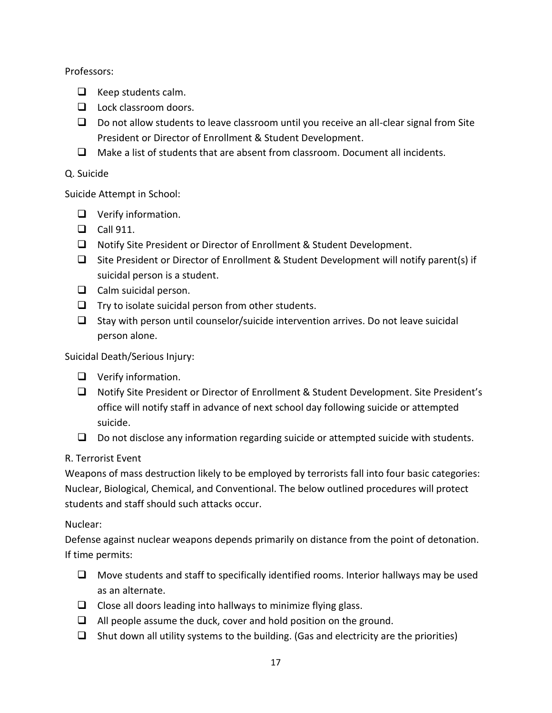Professors:

- $\Box$  Keep students calm.
- $\Box$  Lock classroom doors.
- $\Box$  Do not allow students to leave classroom until you receive an all-clear signal from Site President or Director of Enrollment & Student Development.
- $\Box$  Make a list of students that are absent from classroom. Document all incidents.

# Q. Suicide

Suicide Attempt in School:

- **Q** Verify information.
- $\Box$  Call 911.
- □ Notify Site President or Director of Enrollment & Student Development.
- $\Box$  Site President or Director of Enrollment & Student Development will notify parent(s) if suicidal person is a student.
- $\Box$  Calm suicidal person.
- $\Box$  Try to isolate suicidal person from other students.
- $\Box$  Stay with person until counselor/suicide intervention arrives. Do not leave suicidal person alone.

Suicidal Death/Serious Injury:

- **Q** Verify information.
- Notify Site President or Director of Enrollment & Student Development. Site President's office will notify staff in advance of next school day following suicide or attempted suicide.
- $\Box$  Do not disclose any information regarding suicide or attempted suicide with students.

# R. Terrorist Event

Weapons of mass destruction likely to be employed by terrorists fall into four basic categories: Nuclear, Biological, Chemical, and Conventional. The below outlined procedures will protect students and staff should such attacks occur.

# Nuclear:

Defense against nuclear weapons depends primarily on distance from the point of detonation. If time permits:

- $\Box$  Move students and staff to specifically identified rooms. Interior hallways may be used as an alternate.
- $\Box$  Close all doors leading into hallways to minimize flying glass.
- $\Box$  All people assume the duck, cover and hold position on the ground.
- $\Box$  Shut down all utility systems to the building. (Gas and electricity are the priorities)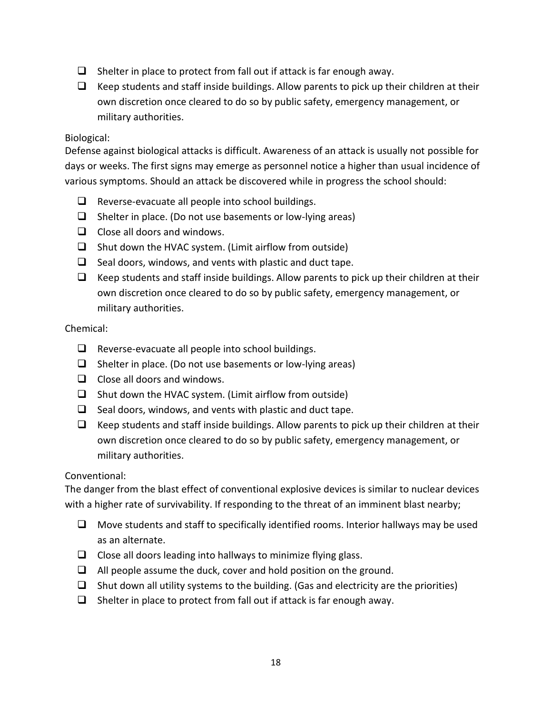- $\Box$  Shelter in place to protect from fall out if attack is far enough away.
- $\Box$  Keep students and staff inside buildings. Allow parents to pick up their children at their own discretion once cleared to do so by public safety, emergency management, or military authorities.

#### Biological:

Defense against biological attacks is difficult. Awareness of an attack is usually not possible for days or weeks. The first signs may emerge as personnel notice a higher than usual incidence of various symptoms. Should an attack be discovered while in progress the school should:

- $\Box$  Reverse-evacuate all people into school buildings.
- $\Box$  Shelter in place. (Do not use basements or low-lying areas)
- $\Box$  Close all doors and windows.
- $\Box$  Shut down the HVAC system. (Limit airflow from outside)
- $\Box$  Seal doors, windows, and vents with plastic and duct tape.
- $\Box$  Keep students and staff inside buildings. Allow parents to pick up their children at their own discretion once cleared to do so by public safety, emergency management, or military authorities.

# Chemical:

- $\Box$  Reverse-evacuate all people into school buildings.
- $\Box$  Shelter in place. (Do not use basements or low-lying areas)
- $\Box$  Close all doors and windows.
- $\Box$  Shut down the HVAC system. (Limit airflow from outside)
- $\Box$  Seal doors, windows, and vents with plastic and duct tape.
- $\Box$  Keep students and staff inside buildings. Allow parents to pick up their children at their own discretion once cleared to do so by public safety, emergency management, or military authorities.

# Conventional:

The danger from the blast effect of conventional explosive devices is similar to nuclear devices with a higher rate of survivability. If responding to the threat of an imminent blast nearby;

- $\Box$  Move students and staff to specifically identified rooms. Interior hallways may be used as an alternate.
- $\Box$  Close all doors leading into hallways to minimize flying glass.
- $\Box$  All people assume the duck, cover and hold position on the ground.
- $\Box$  Shut down all utility systems to the building. (Gas and electricity are the priorities)
- $\Box$  Shelter in place to protect from fall out if attack is far enough away.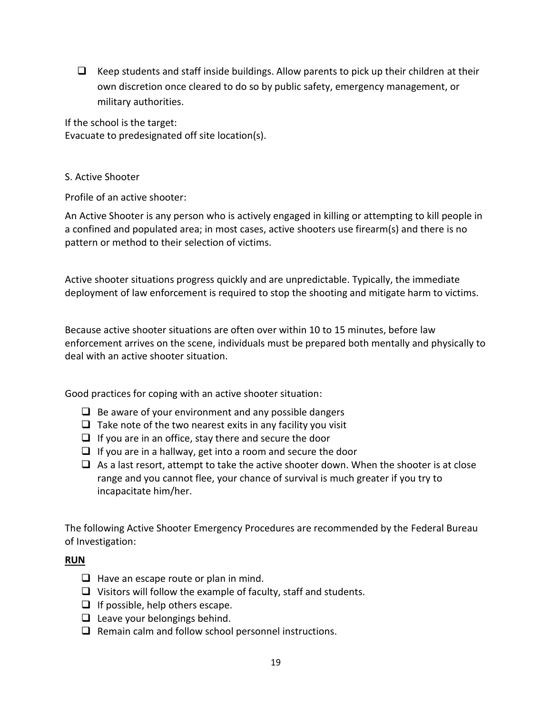$\Box$  Keep students and staff inside buildings. Allow parents to pick up their children at their own discretion once cleared to do so by public safety, emergency management, or military authorities.

If the school is the target: Evacuate to predesignated off site location(s).

#### S. Active Shooter

Profile of an active shooter:

An Active Shooter is any person who is actively engaged in killing or attempting to kill people in a confined and populated area; in most cases, active shooters use firearm(s) and there is no pattern or method to their selection of victims.

Active shooter situations progress quickly and are unpredictable. Typically, the immediate deployment of law enforcement is required to stop the shooting and mitigate harm to victims.

Because active shooter situations are often over within 10 to 15 minutes, before law enforcement arrives on the scene, individuals must be prepared both mentally and physically to deal with an active shooter situation.

Good practices for coping with an active shooter situation:

- $\Box$  Be aware of your environment and any possible dangers
- $\Box$  Take note of the two nearest exits in any facility you visit
- $\Box$  If you are in an office, stay there and secure the door
- $\Box$  If you are in a hallway, get into a room and secure the door
- $\Box$  As a last resort, attempt to take the active shooter down. When the shooter is at close range and you cannot flee, your chance of survival is much greater if you try to incapacitate him/her.

The following Active Shooter Emergency Procedures are recommended by the Federal Bureau of Investigation:

# **RUN**

- $\Box$  Have an escape route or plan in mind.
- $\Box$  Visitors will follow the example of faculty, staff and students.
- $\Box$  If possible, help others escape.
- $\Box$  Leave your belongings behind.
- $\Box$  Remain calm and follow school personnel instructions.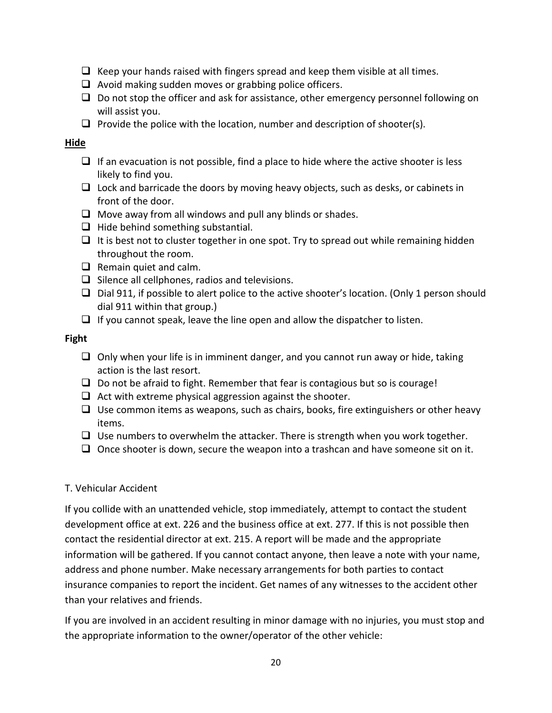- $\Box$  Keep your hands raised with fingers spread and keep them visible at all times.
- $\Box$  Avoid making sudden moves or grabbing police officers.
- $\Box$  Do not stop the officer and ask for assistance, other emergency personnel following on will assist you.
- **Provide the police with the location, number and description of shooter(s).**

## **Hide**

- $\Box$  If an evacuation is not possible, find a place to hide where the active shooter is less likely to find you.
- $\Box$  Lock and barricade the doors by moving heavy objects, such as desks, or cabinets in front of the door.
- $\Box$  Move away from all windows and pull any blinds or shades.
- $\Box$  Hide behind something substantial.
- $\Box$  It is best not to cluster together in one spot. Try to spread out while remaining hidden throughout the room.
- $\Box$  Remain quiet and calm.
- $\Box$  Silence all cellphones, radios and televisions.
- $\Box$  Dial 911, if possible to alert police to the active shooter's location. (Only 1 person should dial 911 within that group.)
- $\Box$  If you cannot speak, leave the line open and allow the dispatcher to listen.

# **Fight**

- $\Box$  Only when your life is in imminent danger, and you cannot run away or hide, taking action is the last resort.
- $\Box$  Do not be afraid to fight. Remember that fear is contagious but so is courage!
- $\Box$  Act with extreme physical aggression against the shooter.
- $\Box$  Use common items as weapons, such as chairs, books, fire extinguishers or other heavy items.
- $\Box$  Use numbers to overwhelm the attacker. There is strength when you work together.
- $\Box$  Once shooter is down, secure the weapon into a trashcan and have someone sit on it.

# T. Vehicular Accident

If you collide with an unattended vehicle, stop immediately, attempt to contact the student development office at ext. 226 and the business office at ext. 277. If this is not possible then contact the residential director at ext. 215. A report will be made and the appropriate information will be gathered. If you cannot contact anyone, then leave a note with your name, address and phone number. Make necessary arrangements for both parties to contact insurance companies to report the incident. Get names of any witnesses to the accident other than your relatives and friends.

If you are involved in an accident resulting in minor damage with no injuries, you must stop and the appropriate information to the owner/operator of the other vehicle: